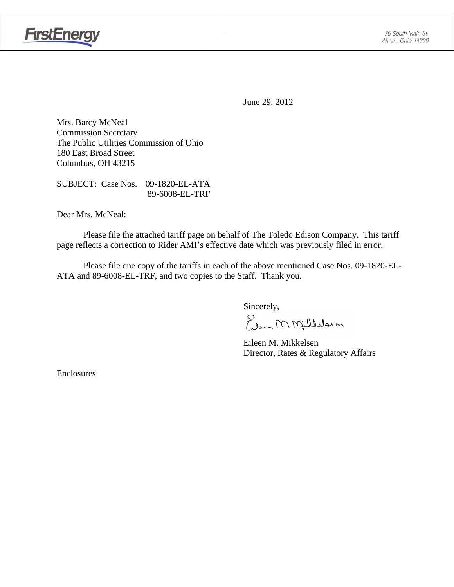

June 29, 2012

Mrs. Barcy McNeal Commission Secretary The Public Utilities Commission of Ohio 180 East Broad Street Columbus, OH 43215

SUBJECT: Case Nos. 09-1820-EL-ATA 89-6008-EL-TRF

Dear Mrs. McNeal:

 Please file the attached tariff page on behalf of The Toledo Edison Company. This tariff page reflects a correction to Rider AMI's effective date which was previously filed in error.

Please file one copy of the tariffs in each of the above mentioned Case Nos. 09-1820-EL-ATA and 89-6008-EL-TRF, and two copies to the Staff. Thank you.

Sincerely,

Elem M Millelaun

 Eileen M. Mikkelsen Director, Rates & Regulatory Affairs

Enclosures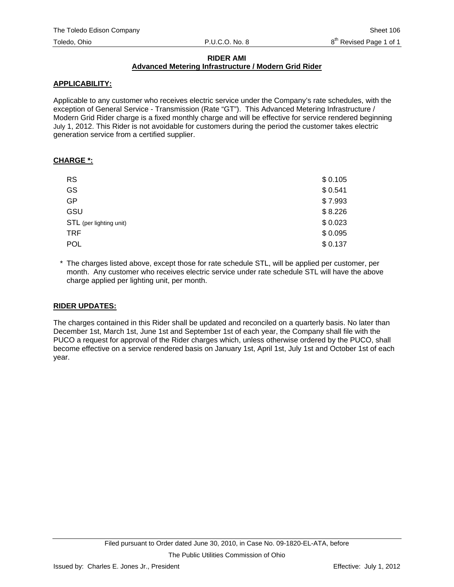#### **RIDER AMI Advanced Metering Infrastructure / Modern Grid Rider**

### **APPLICABILITY:**

Applicable to any customer who receives electric service under the Company's rate schedules, with the exception of General Service - Transmission (Rate "GT"). This Advanced Metering Infrastructure / Modern Grid Rider charge is a fixed monthly charge and will be effective for service rendered beginning July 1, 2012. This Rider is not avoidable for customers during the period the customer takes electric generation service from a certified supplier.

#### **CHARGE \*:**

| <b>RS</b>               | \$0.105 |
|-------------------------|---------|
| <b>GS</b>               | \$0.541 |
| <b>GP</b>               | \$7.993 |
| GSU                     | \$8.226 |
| STL (per lighting unit) | \$0.023 |
| <b>TRF</b>              | \$0.095 |
| <b>POL</b>              | \$0.137 |

\* The charges listed above, except those for rate schedule STL, will be applied per customer, per month. Any customer who receives electric service under rate schedule STL will have the above charge applied per lighting unit, per month.

## **RIDER UPDATES:**

The charges contained in this Rider shall be updated and reconciled on a quarterly basis. No later than December 1st, March 1st, June 1st and September 1st of each year, the Company shall file with the PUCO a request for approval of the Rider charges which, unless otherwise ordered by the PUCO, shall become effective on a service rendered basis on January 1st, April 1st, July 1st and October 1st of each year.